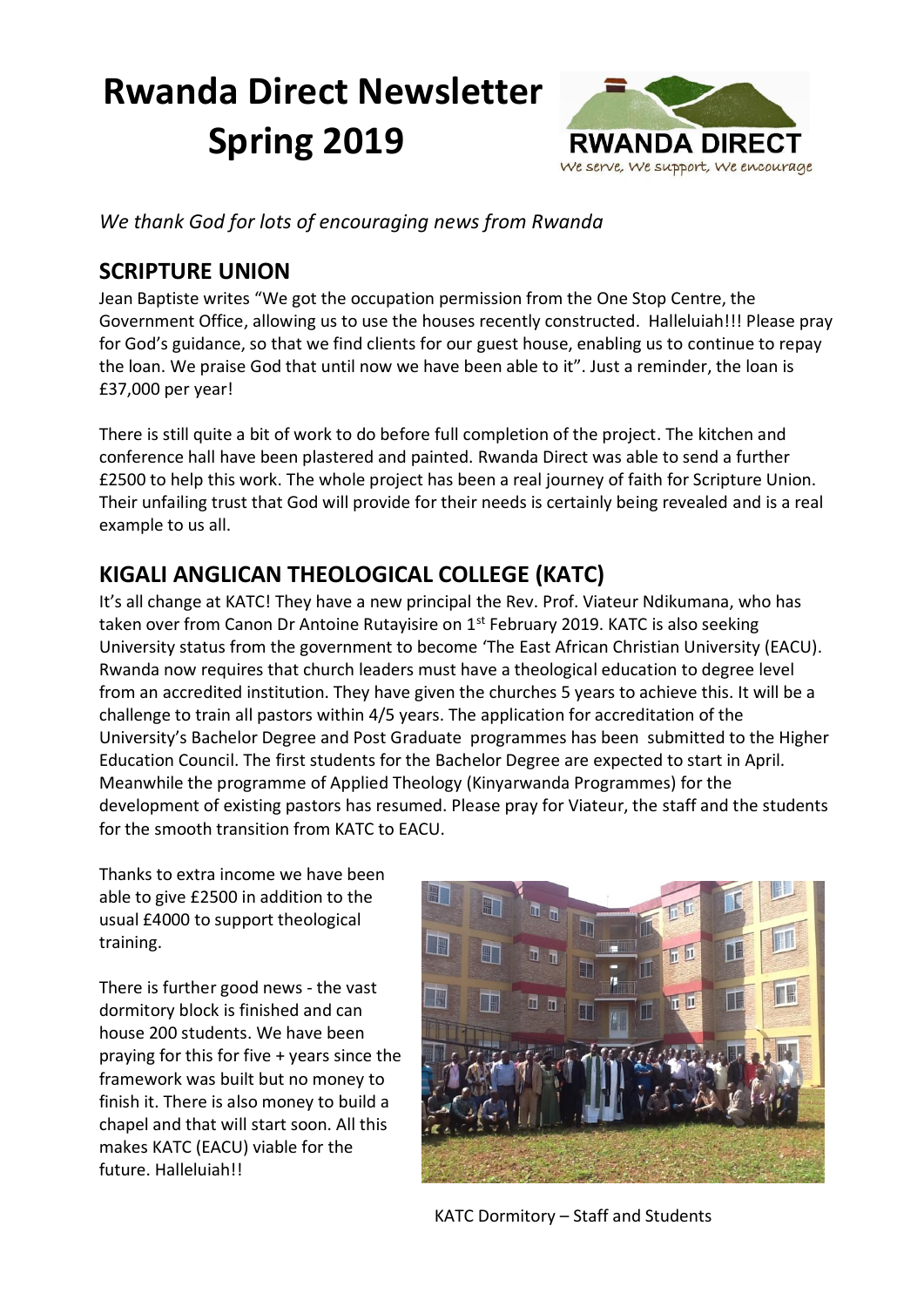# **Rwanda Direct Newsletter Spring 2019**



*We thank God for lots of encouraging news from Rwanda*

# **SCRIPTURE UNION**

Jean Baptiste writes "We got the occupation permission from the One Stop Centre, the Government Office, allowing us to use the houses recently constructed. Halleluiah!!! Please pray for God's guidance, so that we find clients for our guest house, enabling us to continue to repay the loan. We praise God that until now we have been able to it". Just a reminder, the loan is £37,000 per year!

There is still quite a bit of work to do before full completion of the project. The kitchen and conference hall have been plastered and painted. Rwanda Direct was able to send a further £2500 to help this work. The whole project has been a real journey of faith for Scripture Union. Their unfailing trust that God will provide for their needs is certainly being revealed and is a real example to us all.

# **KIGALI ANGLICAN THEOLOGICAL COLLEGE (KATC)**

It's all change at KATC! They have a new principal the Rev. Prof. Viateur Ndikumana, who has taken over from Canon Dr Antoine Rutayisire on  $1<sup>st</sup>$  February 2019. KATC is also seeking University status from the government to become 'The East African Christian University (EACU). Rwanda now requires that church leaders must have a theological education to degree level from an accredited institution. They have given the churches 5 years to achieve this. It will be a challenge to train all pastors within 4/5 years. The application for accreditation of the University's Bachelor Degree and Post Graduate programmes has been submitted to the Higher Education Council. The first students for the Bachelor Degree are expected to start in April. Meanwhile the programme of Applied Theology (Kinyarwanda Programmes) for the development of existing pastors has resumed. Please pray for Viateur, the staff and the students for the smooth transition from KATC to EACU.

Thanks to extra income we have been able to give £2500 in addition to the usual £4000 to support theological training.

There is further good news - the vast dormitory block is finished and can house 200 students. We have been praying for this for five + years since the framework was built but no money to finish it. There is also money to build a chapel and that will start soon. All this makes KATC (EACU) viable for the future. Halleluiah!!



KATC Dormitory – Staff and Students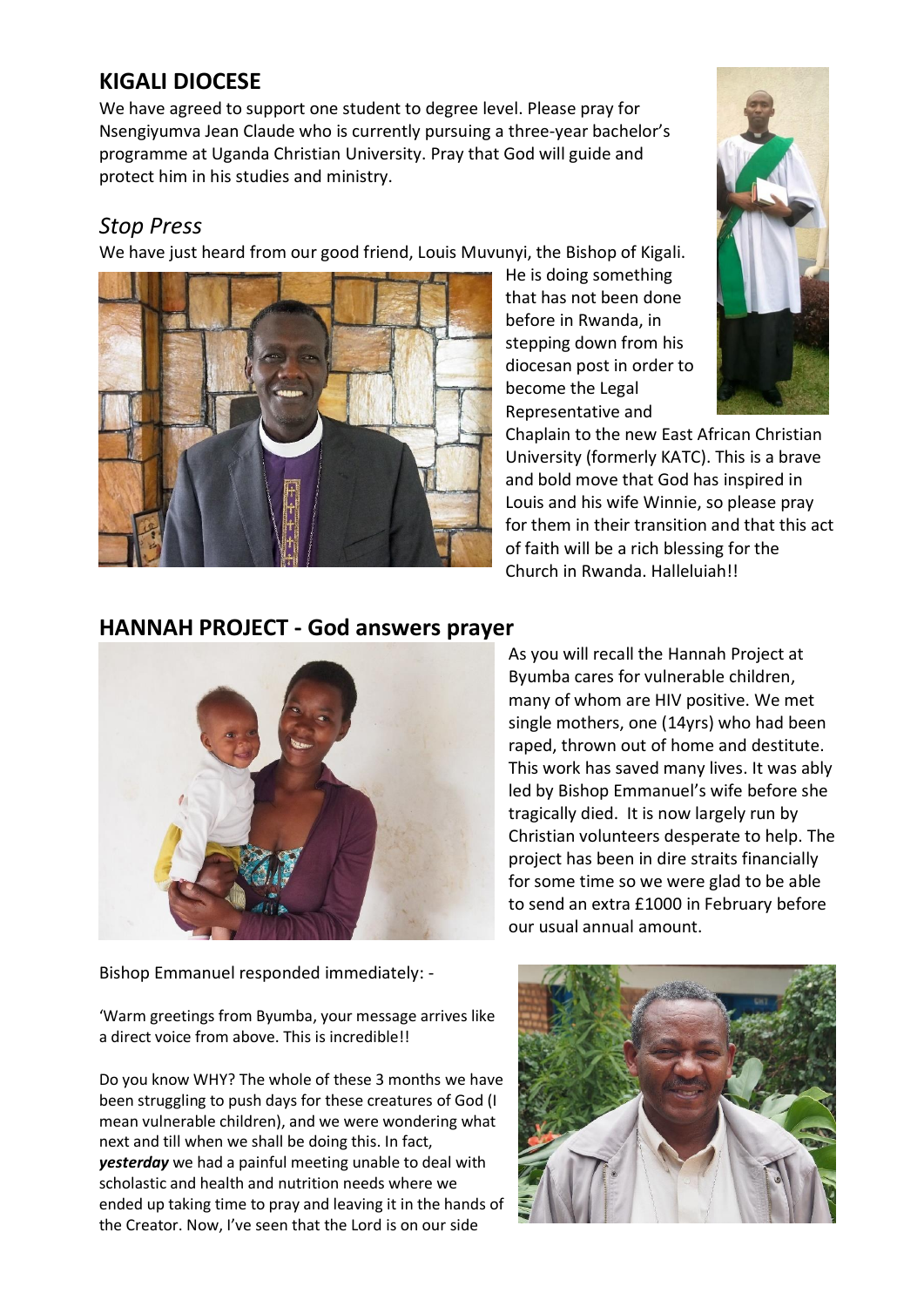## **KIGALI DIOCESE**

We have agreed to support one student to degree level. Please pray for Nsengiyumva Jean Claude who is currently pursuing a three-year bachelor's programme at Uganda Christian University. Pray that God will guide and protect him in his studies and ministry.

#### *Stop Press*

We have just heard from our good friend, Louis Muvunyi, the Bishop of Kigali.



He is doing something that has not been done before in Rwanda, in stepping down from his diocesan post in order to become the Legal Representative and

Chaplain to the new East African Christian University (formerly KATC). This is a brave and bold move that God has inspired in Louis and his wife Winnie, so please pray for them in their transition and that this act of faith will be a rich blessing for the Church in Rwanda. Halleluiah!!

#### **HANNAH PROJECT - God answers prayer**



Bishop Emmanuel responded immediately: -

'Warm greetings from Byumba, your message arrives like a direct voice from above. This is incredible!!

Do you know WHY? The whole of these 3 months we have been struggling to push days for these creatures of God (I mean vulnerable children), and we were wondering what next and till when we shall be doing this. In fact, *yesterday* we had a painful meeting unable to deal with scholastic and health and nutrition needs where we ended up taking time to pray and leaving it in the hands of the Creator. Now, I've seen that the Lord is on our side

As you will recall the Hannah Project at Byumba cares for vulnerable children, many of whom are HIV positive. We met single mothers, one (14yrs) who had been raped, thrown out of home and destitute. This work has saved many lives. It was ably led by Bishop Emmanuel's wife before she tragically died. It is now largely run by Christian volunteers desperate to help. The project has been in dire straits financially for some time so we were glad to be able to send an extra £1000 in February before our usual annual amount.